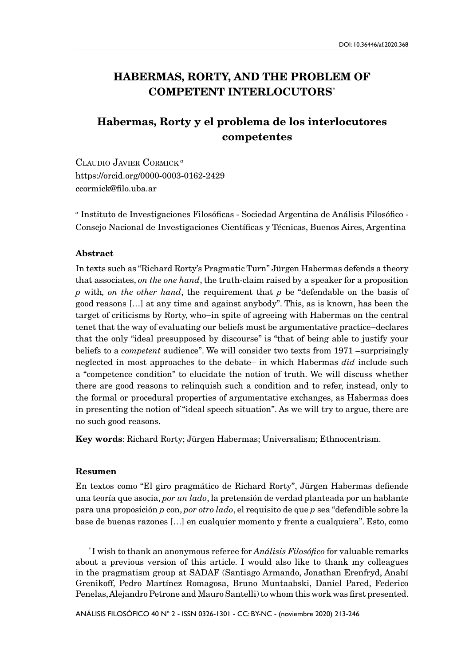# HABERMAS, RORTY, AND THE PROBLEM OF COMPETENT INTERLOCUTORS\*

# Habermas, Rorty y el problema de los interlocutores competentes

Claudio Javier Cormick*<sup>a</sup>* https://orcid.org/0000-0003-0162-2429 ccormick@filo.uba.ar

*<sup>a</sup>* Instituto de Investigaciones Filosóficas - Sociedad Argentina de Análisis Filosófico - Consejo Nacional de Investigaciones Científicas y Técnicas, Buenos Aires, Argentina

#### Abstract

In texts such as "Richard Rorty's Pragmatic Turn" Jürgen Habermas defends a theory that associates, *on the one hand*, the truth-claim raised by a speaker for a proposition *p* with*, on the other hand*, the requirement that *p* be "defendable on the basis of good reasons […] at any time and against anybody". This, as is known, has been the target of criticisms by Rorty, who−in spite of agreeing with Habermas on the central tenet that the way of evaluating our beliefs must be argumentative practice−declares that the only "ideal presupposed by discourse" is "that of being able to justify your beliefs to a *competent* audience". We will consider two texts from 1971 –surprisingly neglected in most approaches to the debate– in which Habermas *did* include such a "competence condition" to elucidate the notion of truth. We will discuss whether there are good reasons to relinquish such a condition and to refer, instead, only to the formal or procedural properties of argumentative exchanges, as Habermas does in presenting the notion of "ideal speech situation". As we will try to argue, there are no such good reasons.

Key words: Richard Rorty; Jürgen Habermas; Universalism; Ethnocentrism.

#### Resumen

En textos como "El giro pragmático de Richard Rorty", Jürgen Habermas defiende una teoría que asocia, *por un lado*, la pretensión de verdad planteada por un hablante para una proposición *p* con, *por otro lado*, el requisito de que *p* sea "defendible sobre la base de buenas razones […] en cualquier momento y frente a cualquiera". Esto, como

\* I wish to thank an anonymous referee for *Análisis Filosófico* for valuable remarks about a previous version of this article. I would also like to thank my colleagues in the pragmatism group at SADAF (Santiago Armando, Jonathan Erenfryd, Anahí Grenikoff, Pedro Martínez Romagosa, Bruno Muntaabski, Daniel Pared, Federico Penelas, Alejandro Petrone and Mauro Santelli) to whom this work was first presented.

ANÁLISIS FILOSÓFICO 40 Nº 2 - ISSN 0326-1301 - CC: BY-NC - (noviembre 2020) 213-246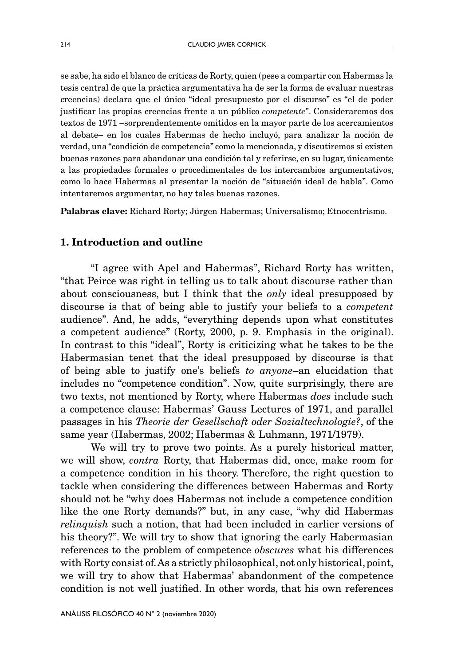se sabe, ha sido el blanco de críticas de Rorty, quien (pese a compartir con Habermas la tesis central de que la práctica argumentativa ha de ser la forma de evaluar nuestras creencias) declara que el único "ideal presupuesto por el discurso" es "el de poder justificar las propias creencias frente a un público *competente*". Consideraremos dos textos de 1971 –sorprendentemente omitidos en la mayor parte de los acercamientos al debate– en los cuales Habermas de hecho incluyó, para analizar la noción de verdad, una "condición de competencia" como la mencionada, y discutiremos si existen buenas razones para abandonar una condición tal y referirse, en su lugar, únicamente a las propiedades formales o procedimentales de los intercambios argumentativos, como lo hace Habermas al presentar la noción de "situación ideal de habla". Como intentaremos argumentar, no hay tales buenas razones.

Palabras clave: Richard Rorty; Jürgen Habermas; Universalismo; Etnocentrismo.

## 1. Introduction and outline

"I agree with Apel and Habermas", Richard Rorty has written, "that Peirce was right in telling us to talk about discourse rather than about consciousness, but I think that the *only* ideal presupposed by discourse is that of being able to justify your beliefs to a *competent* audience". And, he adds, "everything depends upon what constitutes a competent audience" (Rorty, 2000, p. 9. Emphasis in the original). In contrast to this "ideal", Rorty is criticizing what he takes to be the Habermasian tenet that the ideal presupposed by discourse is that of being able to justify one's beliefs *to anyone*–an elucidation that includes no "competence condition". Now, quite surprisingly, there are two texts, not mentioned by Rorty, where Habermas *does* include such a competence clause: Habermas' Gauss Lectures of 1971, and parallel passages in his *Theorie der Gesellschaft oder Sozialtechnologie?*, of the same year (Habermas, 2002; Habermas & Luhmann, 1971/1979).

We will try to prove two points. As a purely historical matter, we will show, *contra* Rorty, that Habermas did, once, make room for a competence condition in his theory. Therefore, the right question to tackle when considering the differences between Habermas and Rorty should not be "why does Habermas not include a competence condition like the one Rorty demands?" but, in any case, "why did Habermas *relinquish* such a notion, that had been included in earlier versions of his theory?". We will try to show that ignoring the early Habermasian references to the problem of competence *obscures* what his differences with Rorty consist of. As a strictly philosophical, not only historical, point, we will try to show that Habermas' abandonment of the competence condition is not well justified. In other words, that his own references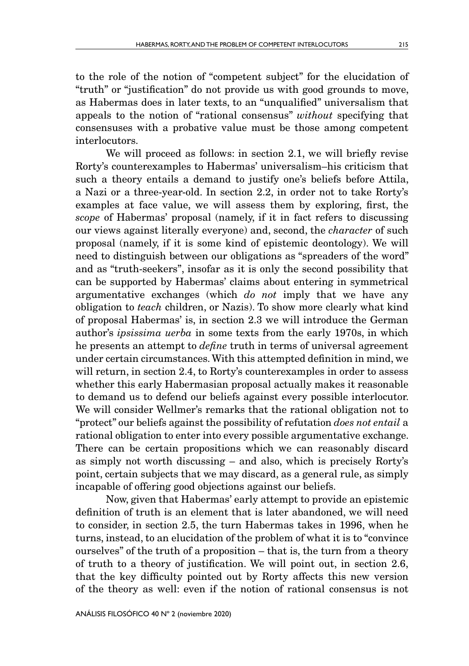to the role of the notion of "competent subject" for the elucidation of "truth" or "justification" do not provide us with good grounds to move, as Habermas does in later texts, to an "unqualified" universalism that appeals to the notion of "rational consensus" *without* specifying that consensuses with a probative value must be those among competent interlocutors.

We will proceed as follows: in section 2.1, we will briefly revise Rorty's counterexamples to Habermas' universalism–his criticism that such a theory entails a demand to justify one's beliefs before Attila, a Nazi or a three-year-old. In section 2.2, in order not to take Rorty's examples at face value, we will assess them by exploring, first, the *scope* of Habermas' proposal (namely, if it in fact refers to discussing our views against literally everyone) and, second, the *character* of such proposal (namely, if it is some kind of epistemic deontology). We will need to distinguish between our obligations as "spreaders of the word" and as "truth-seekers", insofar as it is only the second possibility that can be supported by Habermas' claims about entering in symmetrical argumentative exchanges (which *do not* imply that we have any obligation to *teach* children, or Nazis). To show more clearly what kind of proposal Habermas' is, in section 2.3 we will introduce the German author's *ipsissima uerba* in some texts from the early 1970s, in which he presents an attempt to *define* truth in terms of universal agreement under certain circumstances. With this attempted definition in mind, we will return, in section 2.4, to Rorty's counterexamples in order to assess whether this early Habermasian proposal actually makes it reasonable to demand us to defend our beliefs against every possible interlocutor. We will consider Wellmer's remarks that the rational obligation not to "protect" our beliefs against the possibility of refutation *does not entail* a rational obligation to enter into every possible argumentative exchange. There can be certain propositions which we can reasonably discard as simply not worth discussing – and also, which is precisely Rorty's point, certain subjects that we may discard, as a general rule, as simply incapable of offering good objections against our beliefs.

Now, given that Habermas' early attempt to provide an epistemic definition of truth is an element that is later abandoned, we will need to consider, in section 2.5, the turn Habermas takes in 1996, when he turns, instead, to an elucidation of the problem of what it is to "convince ourselves" of the truth of a proposition – that is, the turn from a theory of truth to a theory of justification. We will point out, in section 2.6, that the key difficulty pointed out by Rorty affects this new version of the theory as well: even if the notion of rational consensus is not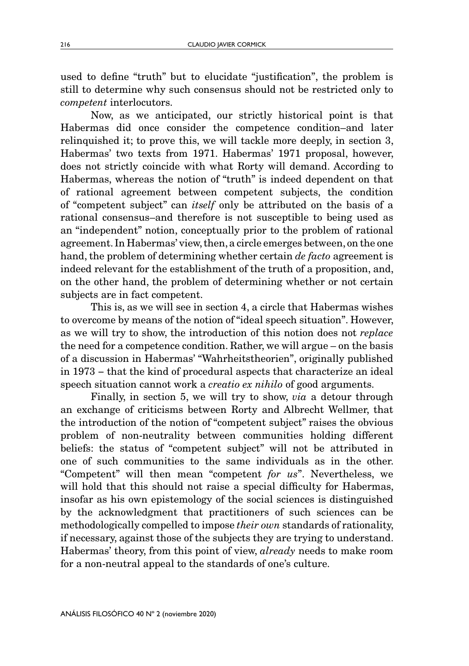used to define "truth" but to elucidate "justification", the problem is still to determine why such consensus should not be restricted only to *competent* interlocutors.

Now, as we anticipated, our strictly historical point is that Habermas did once consider the competence condition–and later relinquished it; to prove this, we will tackle more deeply, in section 3, Habermas' two texts from 1971. Habermas' 1971 proposal, however, does not strictly coincide with what Rorty will demand. According to Habermas, whereas the notion of "truth" is indeed dependent on that of rational agreement between competent subjects, the condition of "competent subject" can *itself* only be attributed on the basis of a rational consensus–and therefore is not susceptible to being used as an "independent" notion, conceptually prior to the problem of rational agreement. In Habermas' view, then, a circle emerges between, on the one hand, the problem of determining whether certain *de facto* agreement is indeed relevant for the establishment of the truth of a proposition, and, on the other hand, the problem of determining whether or not certain subjects are in fact competent.

This is, as we will see in section 4, a circle that Habermas wishes to overcome by means of the notion of "ideal speech situation". However, as we will try to show, the introduction of this notion does not *replace* the need for a competence condition. Rather, we will argue – on the basis of a discussion in Habermas' "Wahrheitstheorien", originally published in 1973 − that the kind of procedural aspects that characterize an ideal speech situation cannot work a *creatio ex nihilo* of good arguments.

Finally, in section 5, we will try to show, *via* a detour through an exchange of criticisms between Rorty and Albrecht Wellmer, that the introduction of the notion of "competent subject" raises the obvious problem of non-neutrality between communities holding different beliefs: the status of "competent subject" will not be attributed in one of such communities to the same individuals as in the other. "Competent" will then mean "competent *for us*". Nevertheless, we will hold that this should not raise a special difficulty for Habermas, insofar as his own epistemology of the social sciences is distinguished by the acknowledgment that practitioners of such sciences can be methodologically compelled to impose *their own* standards of rationality, if necessary, against those of the subjects they are trying to understand. Habermas' theory, from this point of view, *already* needs to make room for a non-neutral appeal to the standards of one's culture.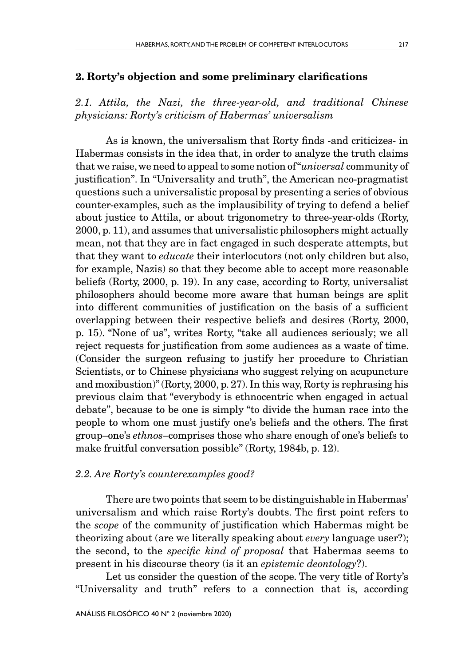### 2. Rorty's objection and some preliminary clarifications

*2.1. Attila, the Nazi, the three-year-old, and traditional Chinese physicians: Rorty's criticism of Habermas' universalism*

As is known, the universalism that Rorty finds -and criticizes- in Habermas consists in the idea that, in order to analyze the truth claims that we raise, we need to appeal to some notion of "*universal* community of justification". In "Universality and truth", the American neo-pragmatist questions such a universalistic proposal by presenting a series of obvious counter-examples, such as the implausibility of trying to defend a belief about justice to Attila, or about trigonometry to three-year-olds (Rorty, 2000, p. 11), and assumes that universalistic philosophers might actually mean, not that they are in fact engaged in such desperate attempts, but that they want to *educate* their interlocutors (not only children but also, for example, Nazis) so that they become able to accept more reasonable beliefs (Rorty, 2000, p. 19). In any case, according to Rorty, universalist philosophers should become more aware that human beings are split into different communities of justification on the basis of a sufficient overlapping between their respective beliefs and desires (Rorty, 2000, p. 15). "None of us", writes Rorty, "take all audiences seriously; we all reject requests for justification from some audiences as a waste of time. (Consider the surgeon refusing to justify her procedure to Christian Scientists, or to Chinese physicians who suggest relying on acupuncture and moxibustion)" (Rorty, 2000, p. 27). In this way, Rorty is rephrasing his previous claim that "everybody is ethnocentric when engaged in actual debate", because to be one is simply "to divide the human race into the people to whom one must justify one's beliefs and the others. The first group–one's *ethnos*–comprises those who share enough of one's beliefs to make fruitful conversation possible" (Rorty, 1984b, p. 12).

## *2.2. Are Rorty's counterexamples good?*

There are two points that seem to be distinguishable in Habermas' universalism and which raise Rorty's doubts. The first point refers to the *scope* of the community of justification which Habermas might be theorizing about (are we literally speaking about *every* language user?); the second, to the *specific kind of proposal* that Habermas seems to present in his discourse theory (is it an *epistemic deontology*?).

Let us consider the question of the scope. The very title of Rorty's "Universality and truth" refers to a connection that is, according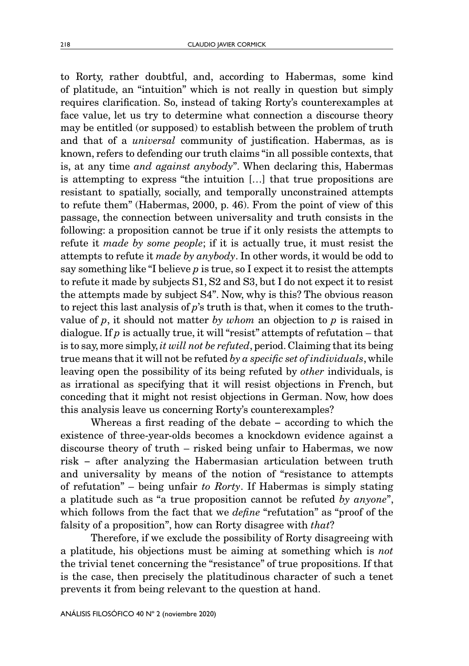to Rorty, rather doubtful, and, according to Habermas, some kind of platitude, an "intuition" which is not really in question but simply requires clarification. So, instead of taking Rorty's counterexamples at face value, let us try to determine what connection a discourse theory may be entitled (or supposed) to establish between the problem of truth and that of a *universal* community of justification. Habermas, as is known, refers to defending our truth claims "in all possible contexts, that is, at any time *and against anybody*". When declaring this, Habermas is attempting to express "the intuition […] that true propositions are resistant to spatially, socially, and temporally unconstrained attempts to refute them" (Habermas, 2000, p. 46). From the point of view of this passage, the connection between universality and truth consists in the following: a proposition cannot be true if it only resists the attempts to refute it *made by some people*; if it is actually true, it must resist the attempts to refute it *made by anybody*. In other words, it would be odd to say something like "I believe *p* is true, so I expect it to resist the attempts to refute it made by subjects S1, S2 and S3, but I do not expect it to resist the attempts made by subject S4". Now, why is this? The obvious reason to reject this last analysis of *p*'s truth is that, when it comes to the truthvalue of *p*, it should not matter *by whom* an objection to *p* is raised in dialogue. If *p* is actually true, it will "resist" attempts of refutation – that is to say, more simply, *it will not be refuted*, period. Claiming that its being true means that it will not be refuted *by a specific set of individuals*, while leaving open the possibility of its being refuted by *other* individuals, is as irrational as specifying that it will resist objections in French, but conceding that it might not resist objections in German. Now, how does this analysis leave us concerning Rorty's counterexamples?

Whereas a first reading of the debate − according to which the existence of three-year-olds becomes a knockdown evidence against a discourse theory of truth – risked being unfair to Habermas, we now risk − after analyzing the Habermasian articulation between truth and universality by means of the notion of "resistance to attempts of refutation" – being unfair *to Rorty*. If Habermas is simply stating a platitude such as "a true proposition cannot be refuted *by anyone*", which follows from the fact that we *define* "refutation" as "proof of the falsity of a proposition", how can Rorty disagree with *that*?

Therefore, if we exclude the possibility of Rorty disagreeing with a platitude, his objections must be aiming at something which is *not* the trivial tenet concerning the "resistance" of true propositions. If that is the case, then precisely the platitudinous character of such a tenet prevents it from being relevant to the question at hand.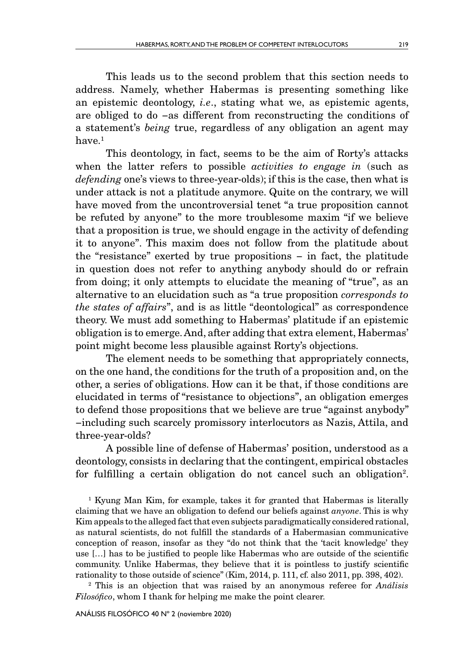This leads us to the second problem that this section needs to address. Namely, whether Habermas is presenting something like an epistemic deontology, *i.e*., stating what we, as epistemic agents, are obliged to do −as different from reconstructing the conditions of a statement's *being* true, regardless of any obligation an agent may have <sup>1</sup>

This deontology, in fact, seems to be the aim of Rorty's attacks when the latter refers to possible *activities to engage in* (such as *defending* one's views to three-year-olds); if this is the case, then what is under attack is not a platitude anymore. Quite on the contrary, we will have moved from the uncontroversial tenet "a true proposition cannot be refuted by anyone" to the more troublesome maxim "if we believe that a proposition is true, we should engage in the activity of defending it to anyone". This maxim does not follow from the platitude about the "resistance" exerted by true propositions − in fact, the platitude in question does not refer to anything anybody should do or refrain from doing; it only attempts to elucidate the meaning of "true", as an alternative to an elucidation such as "a true proposition *corresponds to the states of affairs*", and is as little "deontological" as correspondence theory. We must add something to Habermas' platitude if an epistemic obligation is to emerge. And, after adding that extra element, Habermas' point might become less plausible against Rorty's objections.

The element needs to be something that appropriately connects, on the one hand, the conditions for the truth of a proposition and, on the other, a series of obligations. How can it be that, if those conditions are elucidated in terms of "resistance to objections", an obligation emerges to defend those propositions that we believe are true "against anybody" −including such scarcely promissory interlocutors as Nazis, Attila, and three-year-olds?

A possible line of defense of Habermas' position, understood as a deontology, consists in declaring that the contingent, empirical obstacles for fulfilling a certain obligation do not cancel such an obligation<sup>2</sup>.

<sup>1</sup> Kyung Man Kim, for example, takes it for granted that Habermas is literally claiming that we have an obligation to defend our beliefs against *anyone*. This is why Kim appeals to the alleged fact that even subjects paradigmatically considered rational, as natural scientists, do not fulfill the standards of a Habermasian communicative conception of reason, insofar as they "do not think that the 'tacit knowledge' they use […] has to be justified to people like Habermas who are outside of the scientific community. Unlike Habermas, they believe that it is pointless to justify scientific rationality to those outside of science" (Kim, 2014, p. 111, cf. also 2011, pp. 398, 402).

2 This is an objection that was raised by an anonymous referee for *Análisis Filosófico*, whom I thank for helping me make the point clearer.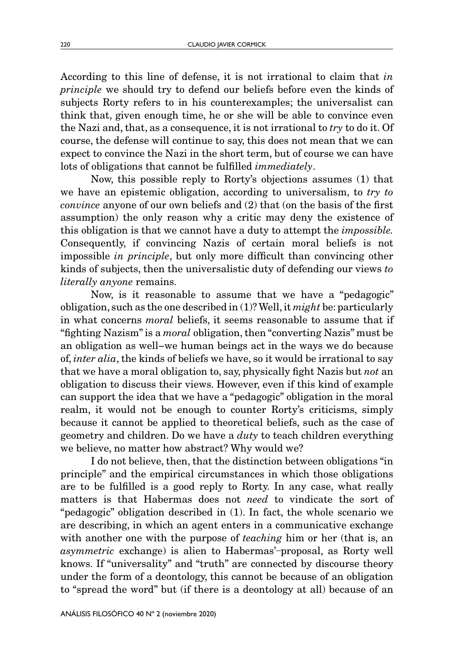According to this line of defense, it is not irrational to claim that *in principle* we should try to defend our beliefs before even the kinds of subjects Rorty refers to in his counterexamples; the universalist can think that, given enough time, he or she will be able to convince even the Nazi and, that, as a consequence, it is not irrational to *try* to do it. Of course, the defense will continue to say, this does not mean that we can expect to convince the Nazi in the short term, but of course we can have lots of obligations that cannot be fulfilled *immediately*.

Now, this possible reply to Rorty's objections assumes (1) that we have an epistemic obligation, according to universalism, to *try to convince* anyone of our own beliefs and (2) that (on the basis of the first assumption) the only reason why a critic may deny the existence of this obligation is that we cannot have a duty to attempt the *impossible.* Consequently, if convincing Nazis of certain moral beliefs is not impossible *in principle*, but only more difficult than convincing other kinds of subjects, then the universalistic duty of defending our views *to literally anyone* remains.

Now, is it reasonable to assume that we have a "pedagogic" obligation, such as the one described in (1)? Well, it *might* be: particularly in what concerns *moral* beliefs, it seems reasonable to assume that if "fighting Nazism" is a *moral* obligation, then "converting Nazis" must be an obligation as well−we human beings act in the ways we do because of, *inter alia*, the kinds of beliefs we have, so it would be irrational to say that we have a moral obligation to, say, physically fight Nazis but *not* an obligation to discuss their views. However, even if this kind of example can support the idea that we have a "pedagogic" obligation in the moral realm, it would not be enough to counter Rorty's criticisms, simply because it cannot be applied to theoretical beliefs, such as the case of geometry and children. Do we have a *duty* to teach children everything we believe, no matter how abstract? Why would we?

I do not believe, then, that the distinction between obligations "in principle" and the empirical circumstances in which those obligations are to be fulfilled is a good reply to Rorty. In any case, what really matters is that Habermas does not *need* to vindicate the sort of "pedagogic" obligation described in (1). In fact, the whole scenario we are describing, in which an agent enters in a communicative exchange with another one with the purpose of *teaching* him or her (that is, an *asymmetric* exchange) is alien to Habermas'-proposal, as Rorty well knows. If "universality" and "truth" are connected by discourse theory under the form of a deontology, this cannot be because of an obligation to "spread the word" but (if there is a deontology at all) because of an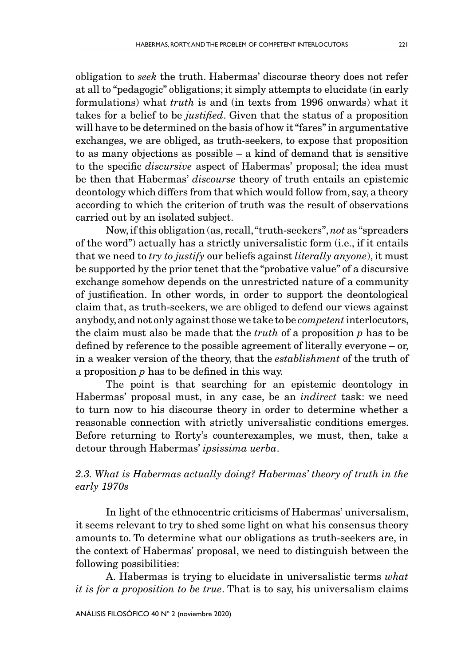obligation to *seek* the truth. Habermas' discourse theory does not refer at all to "pedagogic" obligations; it simply attempts to elucidate (in early formulations) what *truth* is and (in texts from 1996 onwards) what it takes for a belief to be *justified*. Given that the status of a proposition will have to be determined on the basis of how it "fares" in argumentative exchanges, we are obliged, as truth-seekers, to expose that proposition to as many objections as possible – a kind of demand that is sensitive to the specific *discursive* aspect of Habermas' proposal; the idea must be then that Habermas' *discourse* theory of truth entails an epistemic deontology which differs from that which would follow from, say, a theory according to which the criterion of truth was the result of observations carried out by an isolated subject.

Now, if this obligation (as, recall, "truth-seekers", *not* as "spreaders of the word") actually has a strictly universalistic form (i.e., if it entails that we need to *try to justify* our beliefs against *literally anyone*), it must be supported by the prior tenet that the "probative value" of a discursive exchange somehow depends on the unrestricted nature of a community of justification. In other words, in order to support the deontological claim that, as truth-seekers, we are obliged to defend our views against anybody, and not only against those we take to be *competent* interlocutors, the claim must also be made that the *truth* of a proposition *p* has to be defined by reference to the possible agreement of literally everyone – or, in a weaker version of the theory, that the *establishment* of the truth of a proposition *p* has to be defined in this way.

The point is that searching for an epistemic deontology in Habermas' proposal must, in any case, be an *indirect* task: we need to turn now to his discourse theory in order to determine whether a reasonable connection with strictly universalistic conditions emerges. Before returning to Rorty's counterexamples, we must, then, take a detour through Habermas' *ipsissima uerba*.

## *2.3. What is Habermas actually doing? Habermas' theory of truth in the early 1970s*

In light of the ethnocentric criticisms of Habermas' universalism, it seems relevant to try to shed some light on what his consensus theory amounts to. To determine what our obligations as truth-seekers are, in the context of Habermas' proposal, we need to distinguish between the following possibilities:

A. Habermas is trying to elucidate in universalistic terms *what it is for a proposition to be true*. That is to say, his universalism claims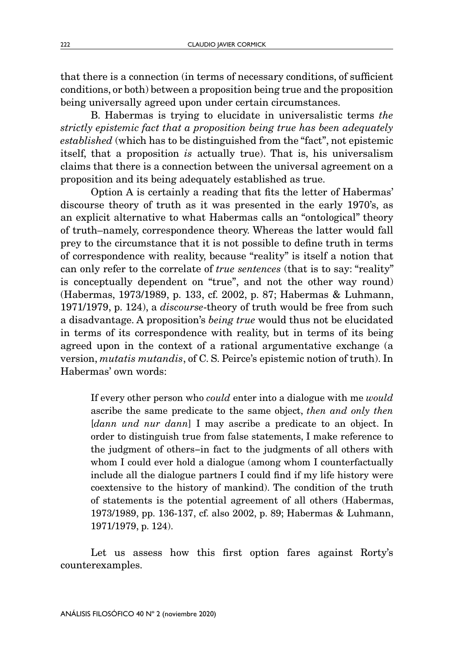that there is a connection (in terms of necessary conditions, of sufficient conditions, or both) between a proposition being true and the proposition being universally agreed upon under certain circumstances.

B. Habermas is trying to elucidate in universalistic terms *the strictly epistemic fact that a proposition being true has been adequately established* (which has to be distinguished from the "fact", not epistemic itself, that a proposition *is* actually true). That is, his universalism claims that there is a connection between the universal agreement on a proposition and its being adequately established as true.

Option A is certainly a reading that fits the letter of Habermas' discourse theory of truth as it was presented in the early 1970's, as an explicit alternative to what Habermas calls an "ontological" theory of truth–namely, correspondence theory. Whereas the latter would fall prey to the circumstance that it is not possible to define truth in terms of correspondence with reality, because "reality" is itself a notion that can only refer to the correlate of *true sentences* (that is to say: "reality" is conceptually dependent on "true", and not the other way round) (Habermas, 1973/1989, p. 133, cf. 2002, p. 87; Habermas & Luhmann, 1971/1979, p. 124), a *discourse*-theory of truth would be free from such a disadvantage. A proposition's *being true* would thus not be elucidated in terms of its correspondence with reality, but in terms of its being agreed upon in the context of a rational argumentative exchange (a version, *mutatis mutandis*, of C. S. Peirce's epistemic notion of truth). In Habermas' own words:

If every other person who *could* enter into a dialogue with me *would* ascribe the same predicate to the same object, *then and only then* [*dann und nur dann*] I may ascribe a predicate to an object. In order to distinguish true from false statements, I make reference to the judgment of others−in fact to the judgments of all others with whom I could ever hold a dialogue (among whom I counterfactually include all the dialogue partners I could find if my life history were coextensive to the history of mankind). The condition of the truth of statements is the potential agreement of all others (Habermas, 1973/1989, pp. 136-137, cf. also 2002, p. 89; Habermas & Luhmann, 1971/1979, p. 124).

Let us assess how this first option fares against Rorty's counterexamples.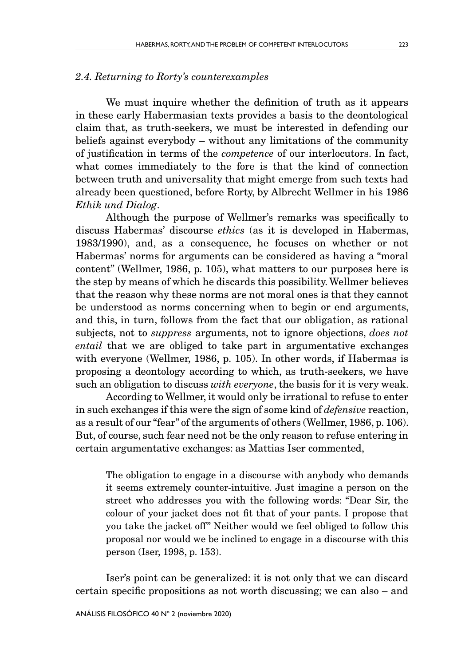## *2.4. Returning to Rorty's counterexamples*

We must inquire whether the definition of truth as it appears in these early Habermasian texts provides a basis to the deontological claim that, as truth-seekers, we must be interested in defending our beliefs against everybody – without any limitations of the community of justification in terms of the *competence* of our interlocutors. In fact, what comes immediately to the fore is that the kind of connection between truth and universality that might emerge from such texts had already been questioned, before Rorty, by Albrecht Wellmer in his 1986 *Ethik und Dialog*.

Although the purpose of Wellmer's remarks was specifically to discuss Habermas' discourse *ethics* (as it is developed in Habermas, 1983/1990), and, as a consequence, he focuses on whether or not Habermas' norms for arguments can be considered as having a "moral content" (Wellmer, 1986, p. 105), what matters to our purposes here is the step by means of which he discards this possibility. Wellmer believes that the reason why these norms are not moral ones is that they cannot be understood as norms concerning when to begin or end arguments, and this, in turn, follows from the fact that our obligation, as rational subjects, not to *suppress* arguments, not to ignore objections, *does not entail* that we are obliged to take part in argumentative exchanges with everyone (Wellmer, 1986, p. 105). In other words, if Habermas is proposing a deontology according to which, as truth-seekers, we have such an obligation to discuss *with everyone*, the basis for it is very weak.

According to Wellmer, it would only be irrational to refuse to enter in such exchanges if this were the sign of some kind of *defensive* reaction, as a result of our "fear" of the arguments of others (Wellmer, 1986, p. 106). But, of course, such fear need not be the only reason to refuse entering in certain argumentative exchanges: as Mattias Iser commented,

The obligation to engage in a discourse with anybody who demands it seems extremely counter-intuitive. Just imagine a person on the street who addresses you with the following words: "Dear Sir, the colour of your jacket does not fit that of your pants. I propose that you take the jacket off" Neither would we feel obliged to follow this proposal nor would we be inclined to engage in a discourse with this person (Iser, 1998, p. 153).

Iser's point can be generalized: it is not only that we can discard certain specific propositions as not worth discussing; we can also – and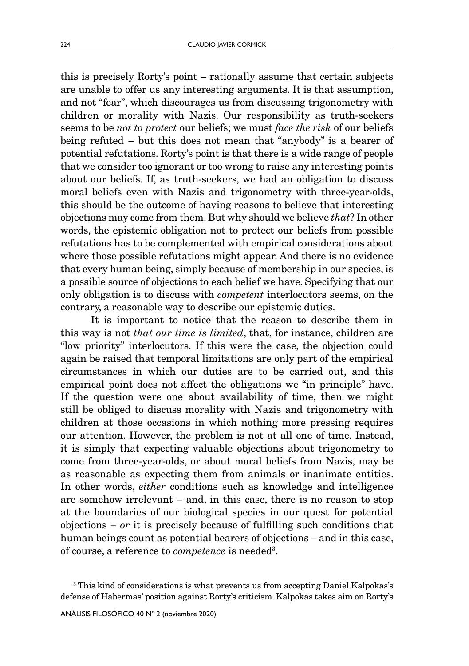this is precisely Rorty's point – rationally assume that certain subjects are unable to offer us any interesting arguments. It is that assumption, and not "fear", which discourages us from discussing trigonometry with children or morality with Nazis. Our responsibility as truth-seekers seems to be *not to protect* our beliefs; we must *face the risk* of our beliefs being refuted − but this does not mean that "anybody" is a bearer of potential refutations. Rorty's point is that there is a wide range of people that we consider too ignorant or too wrong to raise any interesting points about our beliefs. If, as truth-seekers, we had an obligation to discuss moral beliefs even with Nazis and trigonometry with three-year-olds, this should be the outcome of having reasons to believe that interesting objections may come from them. But why should we believe *that*? In other words, the epistemic obligation not to protect our beliefs from possible refutations has to be complemented with empirical considerations about where those possible refutations might appear. And there is no evidence that every human being, simply because of membership in our species, is a possible source of objections to each belief we have. Specifying that our only obligation is to discuss with *competent* interlocutors seems, on the contrary, a reasonable way to describe our epistemic duties.

It is important to notice that the reason to describe them in this way is not *that our time is limited*, that, for instance, children are "low priority" interlocutors. If this were the case, the objection could again be raised that temporal limitations are only part of the empirical circumstances in which our duties are to be carried out, and this empirical point does not affect the obligations we "in principle" have. If the question were one about availability of time, then we might still be obliged to discuss morality with Nazis and trigonometry with children at those occasions in which nothing more pressing requires our attention. However, the problem is not at all one of time. Instead, it is simply that expecting valuable objections about trigonometry to come from three-year-olds, or about moral beliefs from Nazis, may be as reasonable as expecting them from animals or inanimate entities. In other words, *either* conditions such as knowledge and intelligence are somehow irrelevant – and, in this case, there is no reason to stop at the boundaries of our biological species in our quest for potential objections − *or* it is precisely because of fulfilling such conditions that human beings count as potential bearers of objections – and in this case, of course, a reference to *competence* is needed<sup>3</sup>.

<sup>3</sup> This kind of considerations is what prevents us from accepting Daniel Kalpokas's defense of Habermas' position against Rorty's criticism. Kalpokas takes aim on Rorty's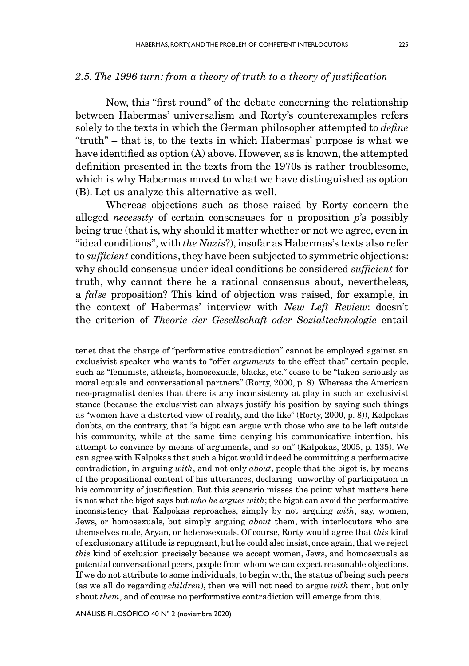## *2.5. The 1996 turn: from a theory of truth to a theory of justification*

Now, this "first round" of the debate concerning the relationship between Habermas' universalism and Rorty's counterexamples refers solely to the texts in which the German philosopher attempted to *define* "truth" – that is, to the texts in which Habermas' purpose is what we have identified as option (A) above. However, as is known, the attempted definition presented in the texts from the 1970s is rather troublesome, which is why Habermas moved to what we have distinguished as option (B). Let us analyze this alternative as well.

Whereas objections such as those raised by Rorty concern the alleged *necessity* of certain consensuses for a proposition *p*'s possibly being true (that is, why should it matter whether or not we agree, even in "ideal conditions", with *the Nazis*?), insofar as Habermas's texts also refer to *sufficient* conditions, they have been subjected to symmetric objections: why should consensus under ideal conditions be considered *sufficient* for truth, why cannot there be a rational consensus about, nevertheless, a *false* proposition? This kind of objection was raised, for example, in the context of Habermas' interview with *New Left Review*: doesn't the criterion of *Theorie der Gesellschaft oder Sozialtechnologie* entail

tenet that the charge of "performative contradiction" cannot be employed against an exclusivist speaker who wants to "offer *arguments* to the effect that" certain people, such as "feminists, atheists, homosexuals, blacks, etc." cease to be "taken seriously as moral equals and conversational partners" (Rorty, 2000, p. 8). Whereas the American neo-pragmatist denies that there is any inconsistency at play in such an exclusivist stance (because the exclusivist can always justify his position by saying such things as "women have a distorted view of reality, and the like" (Rorty, 2000, p. 8)), Kalpokas doubts, on the contrary, that "a bigot can argue with those who are to be left outside his community, while at the same time denying his communicative intention, his attempt to convince by means of arguments, and so on" (Kalpokas, 2005, p. 135). We can agree with Kalpokas that such a bigot would indeed be committing a performative contradiction, in arguing *with*, and not only *about*, people that the bigot is, by means of the propositional content of his utterances, declaring unworthy of participation in his community of justification. But this scenario misses the point: what matters here is not what the bigot says but *who he argues with*; the bigot can avoid the performative inconsistency that Kalpokas reproaches, simply by not arguing *with*, say, women, Jews, or homosexuals, but simply arguing *about* them, with interlocutors who are themselves male, Aryan, or heterosexuals. Of course, Rorty would agree that *this* kind of exclusionary attitude is repugnant, but he could also insist, once again, that we reject *this* kind of exclusion precisely because we accept women, Jews, and homosexuals as potential conversational peers, people from whom we can expect reasonable objections. If we do not attribute to some individuals, to begin with, the status of being such peers (as we all do regarding *children*), then we will not need to argue *with* them, but only about *them*, and of course no performative contradiction will emerge from this.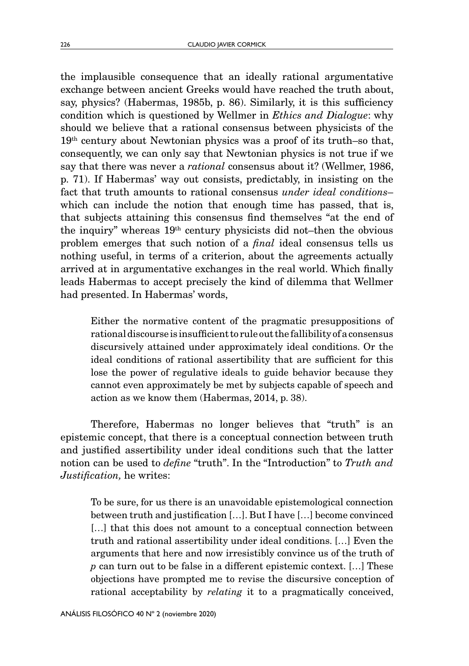the implausible consequence that an ideally rational argumentative exchange between ancient Greeks would have reached the truth about, say, physics? (Habermas, 1985b, p. 86). Similarly, it is this sufficiency condition which is questioned by Wellmer in *Ethics and Dialogue*: why should we believe that a rational consensus between physicists of the 19th century about Newtonian physics was a proof of its truth–so that, consequently, we can only say that Newtonian physics is not true if we say that there was never a *rational* consensus about it? (Wellmer, 1986, p. 71). If Habermas' way out consists, predictably, in insisting on the fact that truth amounts to rational consensus *under ideal conditions*– which can include the notion that enough time has passed, that is, that subjects attaining this consensus find themselves "at the end of the inquiry" whereas 19th century physicists did not–then the obvious problem emerges that such notion of a *final* ideal consensus tells us nothing useful, in terms of a criterion, about the agreements actually arrived at in argumentative exchanges in the real world. Which finally leads Habermas to accept precisely the kind of dilemma that Wellmer had presented. In Habermas' words,

Either the normative content of the pragmatic presuppositions of rational discourse is insufficient to rule out the fallibility of a consensus discursively attained under approximately ideal conditions. Or the ideal conditions of rational assertibility that are sufficient for this lose the power of regulative ideals to guide behavior because they cannot even approximately be met by subjects capable of speech and action as we know them (Habermas, 2014, p. 38).

Therefore, Habermas no longer believes that "truth" is an epistemic concept, that there is a conceptual connection between truth and justified assertibility under ideal conditions such that the latter notion can be used to *define* "truth". In the "Introduction" to *Truth and Justification,* he writes:

To be sure, for us there is an unavoidable epistemological connection between truth and justification […]. But I have […] become convinced [...] that this does not amount to a conceptual connection between truth and rational assertibility under ideal conditions. […] Even the arguments that here and now irresistibly convince us of the truth of *p* can turn out to be false in a different epistemic context. […] These objections have prompted me to revise the discursive conception of rational acceptability by *relating* it to a pragmatically conceived,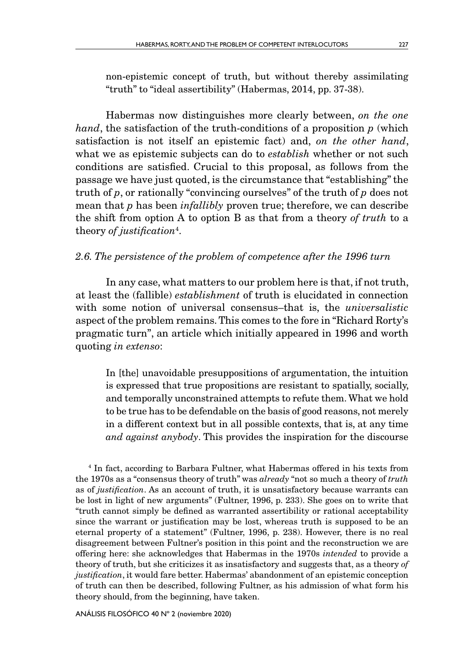non-epistemic concept of truth, but without thereby assimilating "truth" to "ideal assertibility" (Habermas, 2014, pp. 37-38).

Habermas now distinguishes more clearly between, *on the one hand*, the satisfaction of the truth-conditions of a proposition *p* (which satisfaction is not itself an epistemic fact) and, *on the other hand*, what we as epistemic subjects can do to *establish* whether or not such conditions are satisfied. Crucial to this proposal, as follows from the passage we have just quoted, is the circumstance that "establishing" the truth of *p*, or rationally "convincing ourselves" of the truth of *p* does not mean that *p* has been *infallibly* proven true; therefore, we can describe the shift from option A to option B as that from a theory *of truth* to a theory *of justification*<sup>4</sup> .

## *2.6. The persistence of the problem of competence after the 1996 turn*

In any case, what matters to our problem here is that, if not truth, at least the (fallible) *establishment* of truth is elucidated in connection with some notion of universal consensus–that is, the *universalistic* aspect of the problem remains. This comes to the fore in "Richard Rorty's pragmatic turn", an article which initially appeared in 1996 and worth quoting *in extenso*:

In [the] unavoidable presuppositions of argumentation, the intuition is expressed that true propositions are resistant to spatially, socially, and temporally unconstrained attempts to refute them. What we hold to be true has to be defendable on the basis of good reasons, not merely in a different context but in all possible contexts, that is, at any time *and against anybody*. This provides the inspiration for the discourse

4 In fact, according to Barbara Fultner, what Habermas offered in his texts from the 1970s as a "consensus theory of truth" was *already* "not so much a theory of *truth*  as of *justification*. As an account of truth, it is unsatisfactory because warrants can be lost in light of new arguments" (Fultner, 1996, p. 233). She goes on to write that "truth cannot simply be defined as warranted assertibility or rational acceptability since the warrant or justification may be lost, whereas truth is supposed to be an eternal property of a statement" (Fultner, 1996, p. 238). However, there is no real disagreement between Fultner's position in this point and the reconstruction we are offering here: she acknowledges that Habermas in the 1970s *intended* to provide a theory of truth, but she criticizes it as insatisfactory and suggests that, as a theory *of justification*, it would fare better. Habermas' abandonment of an epistemic conception of truth can then be described, following Fultner, as his admission of what form his theory should, from the beginning, have taken.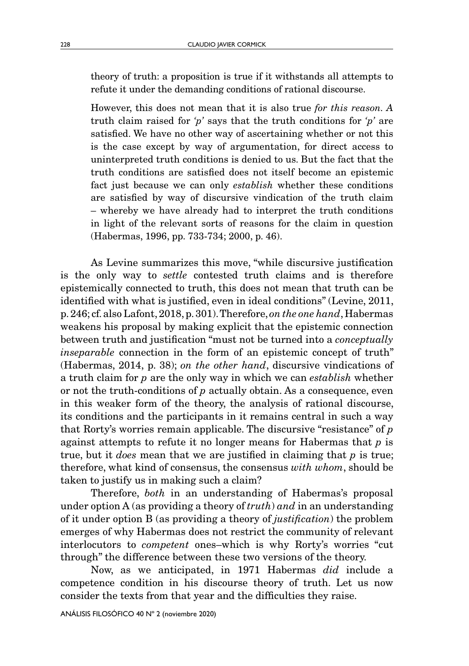theory of truth: a proposition is true if it withstands all attempts to refute it under the demanding conditions of rational discourse.

However, this does not mean that it is also true *for this reason. A*  truth claim raised for *'p'* says that the truth conditions for *'p'* are satisfied. We have no other way of ascertaining whether or not this is the case except by way of argumentation, for direct access to uninterpreted truth conditions is denied to us. But the fact that the truth conditions are satisfied does not itself become an epistemic fact just because we can only *establish* whether these conditions are satisfied by way of discursive vindication of the truth claim – whereby we have already had to interpret the truth conditions in light of the relevant sorts of reasons for the claim in question (Habermas, 1996, pp. 733-734; 2000, p. 46).

As Levine summarizes this move, "while discursive justification is the only way to *settle* contested truth claims and is therefore epistemically connected to truth, this does not mean that truth can be identified with what is justified, even in ideal conditions" (Levine, 2011, p. 246; cf. also Lafont, 2018, p. 301). Therefore, *on the one hand*, Habermas weakens his proposal by making explicit that the epistemic connection between truth and justification "must not be turned into a *conceptually inseparable* connection in the form of an epistemic concept of truth" (Habermas, 2014, p. 38); *on the other hand*, discursive vindications of a truth claim for *p* are the only way in which we can *establish* whether or not the truth-conditions of *p* actually obtain. As a consequence, even in this weaker form of the theory, the analysis of rational discourse, its conditions and the participants in it remains central in such a way that Rorty's worries remain applicable. The discursive "resistance" of *p* against attempts to refute it no longer means for Habermas that *p* is true, but it *does* mean that we are justified in claiming that *p* is true; therefore, what kind of consensus, the consensus *with whom*, should be taken to justify us in making such a claim?

Therefore, *both* in an understanding of Habermas's proposal under option A (as providing a theory of *truth*) *and* in an understanding of it under option B (as providing a theory of *justification*) the problem emerges of why Habermas does not restrict the community of relevant interlocutors to *competent* ones–which is why Rorty's worries "cut through" the difference between these two versions of the theory.

Now, as we anticipated, in 1971 Habermas *did* include a competence condition in his discourse theory of truth. Let us now consider the texts from that year and the difficulties they raise.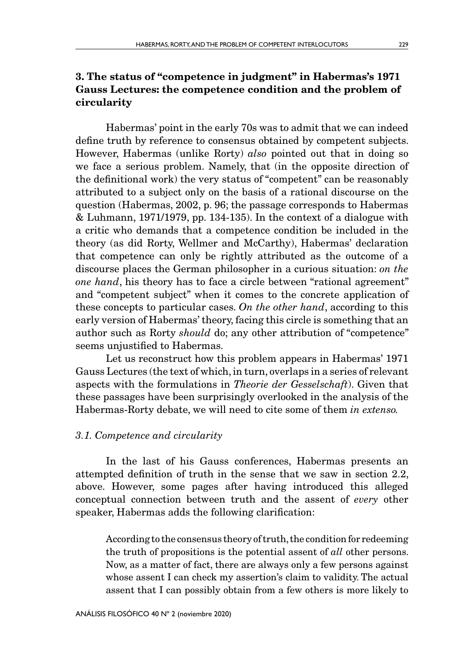## 3. The status of "competence in judgment" in Habermas's 1971 Gauss Lectures: the competence condition and the problem of circularity

Habermas' point in the early 70s was to admit that we can indeed define truth by reference to consensus obtained by competent subjects. However, Habermas (unlike Rorty) *also* pointed out that in doing so we face a serious problem. Namely, that (in the opposite direction of the definitional work) the very status of "competent" can be reasonably attributed to a subject only on the basis of a rational discourse on the question (Habermas, 2002, p. 96; the passage corresponds to Habermas & Luhmann, 1971/1979, pp. 134-135). In the context of a dialogue with a critic who demands that a competence condition be included in the theory (as did Rorty, Wellmer and McCarthy), Habermas' declaration that competence can only be rightly attributed as the outcome of a discourse places the German philosopher in a curious situation: *on the one hand*, his theory has to face a circle between "rational agreement" and "competent subject" when it comes to the concrete application of these concepts to particular cases. *On the other hand*, according to this early version of Habermas' theory, facing this circle is something that an author such as Rorty *should* do; any other attribution of "competence" seems unjustified to Habermas.

Let us reconstruct how this problem appears in Habermas' 1971 Gauss Lectures (the text of which, in turn, overlaps in a series of relevant aspects with the formulations in *Theorie der Gesselschaft*). Given that these passages have been surprisingly overlooked in the analysis of the Habermas-Rorty debate, we will need to cite some of them *in extenso.*

#### *3.1. Competence and circularity*

In the last of his Gauss conferences, Habermas presents an attempted definition of truth in the sense that we saw in section 2.2, above. However, some pages after having introduced this alleged conceptual connection between truth and the assent of *every* other speaker, Habermas adds the following clarification:

According to the consensus theory of truth, the condition for redeeming the truth of propositions is the potential assent of *all* other persons. Now, as a matter of fact, there are always only a few persons against whose assent I can check my assertion's claim to validity. The actual assent that I can possibly obtain from a few others is more likely to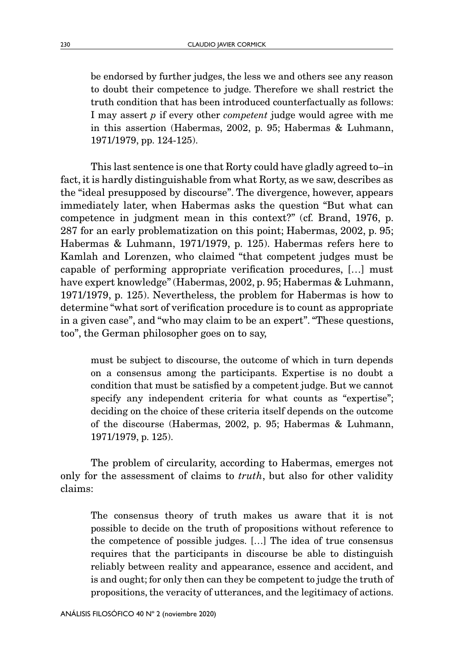be endorsed by further judges, the less we and others see any reason to doubt their competence to judge. Therefore we shall restrict the truth condition that has been introduced counterfactually as follows: I may assert *p* if every other *competent* judge would agree with me in this assertion (Habermas, 2002, p. 95; Habermas & Luhmann, 1971/1979, pp. 124-125).

This last sentence is one that Rorty could have gladly agreed to–in fact, it is hardly distinguishable from what Rorty, as we saw, describes as the "ideal presupposed by discourse". The divergence, however, appears immediately later, when Habermas asks the question "But what can competence in judgment mean in this context?" (cf. Brand, 1976, p. 287 for an early problematization on this point; Habermas, 2002, p. 95; Habermas & Luhmann, 1971/1979, p. 125). Habermas refers here to Kamlah and Lorenzen, who claimed "that competent judges must be capable of performing appropriate verification procedures, […] must have expert knowledge" (Habermas, 2002, p. 95; Habermas & Luhmann, 1971/1979, p. 125). Nevertheless, the problem for Habermas is how to determine "what sort of verification procedure is to count as appropriate in a given case", and "who may claim to be an expert". "These questions, too", the German philosopher goes on to say,

must be subject to discourse, the outcome of which in turn depends on a consensus among the participants. Expertise is no doubt a condition that must be satisfied by a competent judge. But we cannot specify any independent criteria for what counts as "expertise"; deciding on the choice of these criteria itself depends on the outcome of the discourse (Habermas, 2002, p. 95; Habermas & Luhmann, 1971/1979, p. 125).

The problem of circularity, according to Habermas, emerges not only for the assessment of claims to *truth*, but also for other validity claims:

The consensus theory of truth makes us aware that it is not possible to decide on the truth of propositions without reference to the competence of possible judges. […] The idea of true consensus requires that the participants in discourse be able to distinguish reliably between reality and appearance, essence and accident, and is and ought; for only then can they be competent to judge the truth of propositions, the veracity of utterances, and the legitimacy of actions.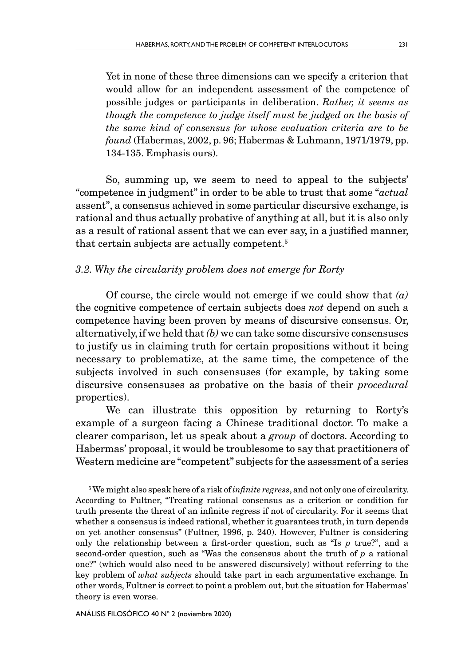Yet in none of these three dimensions can we specify a criterion that would allow for an independent assessment of the competence of possible judges or participants in deliberation. *Rather, it seems as though the competence to judge itself must be judged on the basis of the same kind of consensus for whose evaluation criteria are to be found* (Habermas, 2002, p. 96; Habermas & Luhmann, 1971/1979, pp. 134-135. Emphasis ours).

So, summing up, we seem to need to appeal to the subjects' "competence in judgment" in order to be able to trust that some "*actual* assent", a consensus achieved in some particular discursive exchange, is rational and thus actually probative of anything at all, but it is also only as a result of rational assent that we can ever say, in a justified manner, that certain subjects are actually competent.5

## *3.2. Why the circularity problem does not emerge for Rorty*

Of course, the circle would not emerge if we could show that *(a)*  the cognitive competence of certain subjects does *not* depend on such a competence having been proven by means of discursive consensus. Or, alternatively, if we held that *(b)* we can take some discursive consensuses to justify us in claiming truth for certain propositions without it being necessary to problematize, at the same time, the competence of the subjects involved in such consensuses (for example, by taking some discursive consensuses as probative on the basis of their *procedural* properties).

We can illustrate this opposition by returning to Rorty's example of a surgeon facing a Chinese traditional doctor. To make a clearer comparison, let us speak about a *group* of doctors. According to Habermas' proposal, it would be troublesome to say that practitioners of Western medicine are "competent" subjects for the assessment of a series

5 We might also speak here of a risk of *infinite regress*, and not only one of circularity. According to Fultner, "Treating rational consensus as a criterion or condition for truth presents the threat of an infinite regress if not of circularity. For it seems that whether a consensus is indeed rational, whether it guarantees truth, in turn depends on yet another consensus" (Fultner, 1996, p. 240). However, Fultner is considering only the relationship between a first-order question, such as "Is *p* true?", and a second-order question, such as "Was the consensus about the truth of *p* a rational one?" (which would also need to be answered discursively) without referring to the key problem of *what subjects* should take part in each argumentative exchange. In other words, Fultner is correct to point a problem out, but the situation for Habermas' theory is even worse.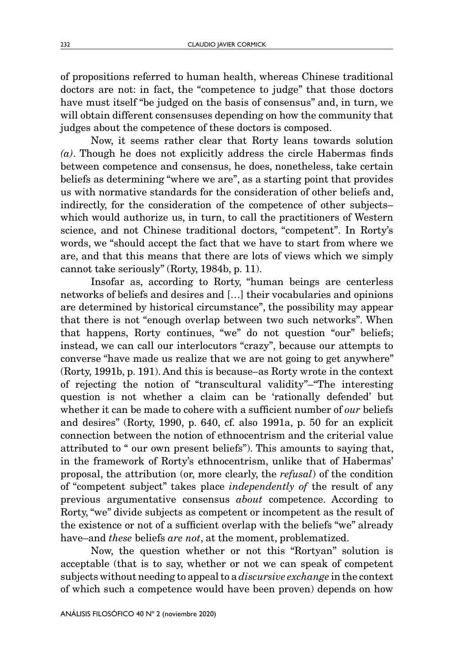of propositions referred to human health, whereas Chinese traditional doctors are not: in fact, the "competence to judge" that those doctors have must itself "be judged on the basis of consensus" and, in turn, we will obtain different consensuses depending on how the community that judges about the competence of these doctors is composed.

Now, it seems rather clear that Rorty leans towards solution *(a)*. Though he does not explicitly address the circle Habermas finds between competence and consensus, he does, nonetheless, take certain beliefs as determining "where we are", as a starting point that provides us with normative standards for the consideration of other beliefs and, indirectly, for the consideration of the competence of other subjects– which would authorize us, in turn, to call the practitioners of Western science, and not Chinese traditional doctors, "competent". In Rorty's words, we "should accept the fact that we have to start from where we are, and that this means that there are lots of views which we simply cannot take seriously" (Rorty, 1984b, p. 11).

Insofar as, according to Rorty, "human beings are centerless networks of beliefs and desires and […] their vocabularies and opinions are determined by historical circumstance", the possibility may appear that there is not "enough overlap between two such networks". When that happens, Rorty continues, "we" do not question "our" beliefs; instead, we can call our interlocutors "crazy", because our attempts to converse "have made us realize that we are not going to get anywhere" (Rorty, 1991b, p. 191). And this is because–as Rorty wrote in the context of rejecting the notion of "transcultural validity"–"The interesting question is not whether a claim can be 'rationally defended' but whether it can be made to cohere with a sufficient number of *our* beliefs and desires" (Rorty, 1990, p. 640, cf. also 1991a, p. 50 for an explicit connection between the notion of ethnocentrism and the criterial value attributed to " our own present beliefs"). This amounts to saying that, in the framework of Rorty's ethnocentrism, unlike that of Habermas' proposal, the attribution (or, more clearly, the *refusal*) of the condition of "competent subject" takes place *independently of* the result of any previous argumentative consensus *about* competence. According to Rorty, "we" divide subjects as competent or incompetent as the result of the existence or not of a sufficient overlap with the beliefs "we" already have–and *these* beliefs *are not*, at the moment, problematized.

Now, the question whether or not this "Rortyan" solution is acceptable (that is to say, whether or not we can speak of competent subjects without needing to appeal to a *discursive exchange* in the context of which such a competence would have been proven) depends on how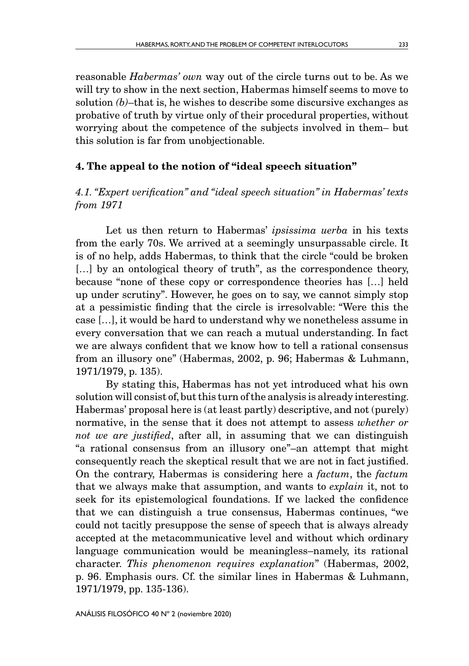reasonable *Habermas' own* way out of the circle turns out to be. As we will try to show in the next section, Habermas himself seems to move to solution *(b)*–that is, he wishes to describe some discursive exchanges as probative of truth by virtue only of their procedural properties, without worrying about the competence of the subjects involved in them– but this solution is far from unobjectionable.

### 4. The appeal to the notion of "ideal speech situation"

## *4.1. "Expert verification" and "ideal speech situation" in Habermas' texts from 1971*

Let us then return to Habermas' *ipsissima uerba* in his texts from the early 70s. We arrived at a seemingly unsurpassable circle. It is of no help, adds Habermas, to think that the circle "could be broken [...] by an ontological theory of truth", as the correspondence theory, because "none of these copy or correspondence theories has […] held up under scrutiny". However, he goes on to say, we cannot simply stop at a pessimistic finding that the circle is irresolvable: "Were this the case […], it would be hard to understand why we nonetheless assume in every conversation that we can reach a mutual understanding. In fact we are always confident that we know how to tell a rational consensus from an illusory one" (Habermas, 2002, p. 96; Habermas & Luhmann, 1971/1979, p. 135).

By stating this, Habermas has not yet introduced what his own solution will consist of, but this turn of the analysis is already interesting. Habermas' proposal here is (at least partly) descriptive, and not (purely) normative, in the sense that it does not attempt to assess *whether or not we are justified*, after all, in assuming that we can distinguish "a rational consensus from an illusory one"–an attempt that might consequently reach the skeptical result that we are not in fact justified. On the contrary, Habermas is considering here a *factum*, the *factum* that we always make that assumption, and wants to *explain* it, not to seek for its epistemological foundations. If we lacked the confidence that we can distinguish a true consensus, Habermas continues, "we could not tacitly presuppose the sense of speech that is always already accepted at the metacommunicative level and without which ordinary language communication would be meaningless–namely, its rational character. *This phenomenon requires explanation*" (Habermas, 2002, p. 96. Emphasis ours. Cf. the similar lines in Habermas & Luhmann, 1971/1979, pp. 135-136).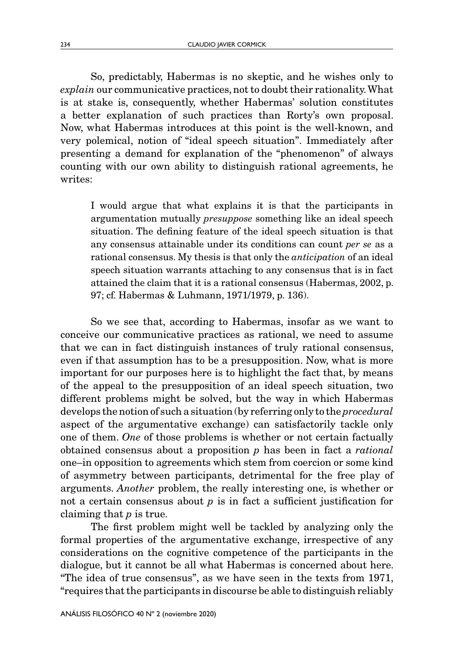So, predictably, Habermas is no skeptic, and he wishes only to *explain* our communicative practices, not to doubt their rationality. What is at stake is, consequently, whether Habermas' solution constitutes a better explanation of such practices than Rorty's own proposal. Now, what Habermas introduces at this point is the well-known, and very polemical, notion of "ideal speech situation". Immediately after presenting a demand for explanation of the "phenomenon" of always counting with our own ability to distinguish rational agreements, he writes:

I would argue that what explains it is that the participants in argumentation mutually *presuppose* something like an ideal speech situation. The defining feature of the ideal speech situation is that any consensus attainable under its conditions can count *per se* as a rational consensus. My thesis is that only the *anticipation* of an ideal speech situation warrants attaching to any consensus that is in fact attained the claim that it is a rational consensus (Habermas, 2002, p. 97; cf. Habermas & Luhmann, 1971/1979, p. 136).

So we see that, according to Habermas, insofar as we want to conceive our communicative practices as rational, we need to assume that we can in fact distinguish instances of truly rational consensus, even if that assumption has to be a presupposition. Now, what is more important for our purposes here is to highlight the fact that, by means of the appeal to the presupposition of an ideal speech situation, two different problems might be solved, but the way in which Habermas develops the notion of such a situation (by referring only to the *procedural* aspect of the argumentative exchange) can satisfactorily tackle only one of them. *One* of those problems is whether or not certain factually obtained consensus about a proposition *p* has been in fact a *rational* one–in opposition to agreements which stem from coercion or some kind of asymmetry between participants, detrimental for the free play of arguments. *Another* problem, the really interesting one, is whether or not a certain consensus about *p* is in fact a sufficient justification for claiming that *p* is true.

The first problem might well be tackled by analyzing only the formal properties of the argumentative exchange, irrespective of any considerations on the cognitive competence of the participants in the dialogue, but it cannot be all what Habermas is concerned about here. "The idea of true consensus", as we have seen in the texts from 1971, "requires that the participants in discourse be able to distinguish reliably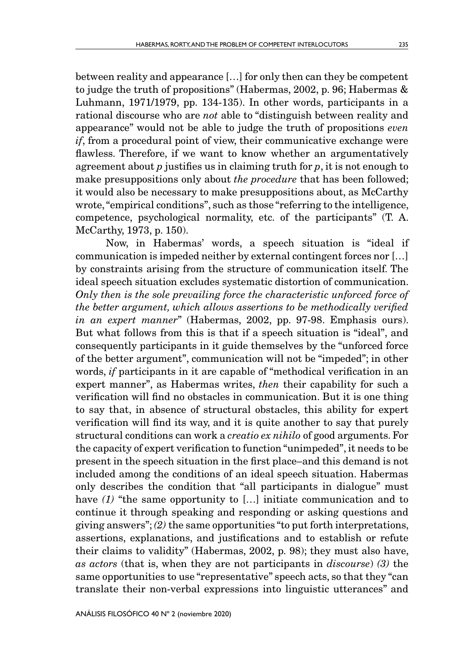between reality and appearance […] for only then can they be competent to judge the truth of propositions" (Habermas, 2002, p. 96; Habermas & Luhmann, 1971/1979, pp. 134-135). In other words, participants in a rational discourse who are *not* able to "distinguish between reality and appearance" would not be able to judge the truth of propositions *even if*, from a procedural point of view, their communicative exchange were flawless. Therefore, if we want to know whether an argumentatively agreement about *p* justifies us in claiming truth for *p*, it is not enough to make presuppositions only about *the procedure* that has been followed; it would also be necessary to make presuppositions about, as McCarthy wrote, "empirical conditions", such as those "referring to the intelligence, competence, psychological normality, etc. of the participants" (T. A. McCarthy, 1973, p. 150).

Now, in Habermas' words, a speech situation is "ideal if communication is impeded neither by external contingent forces nor […] by constraints arising from the structure of communication itself. The ideal speech situation excludes systematic distortion of communication. *Only then is the sole prevailing force the characteristic unforced force of the better argument, which allows assertions to be methodically verified in an expert manner*" (Habermas, 2002, pp. 97-98. Emphasis ours). But what follows from this is that if a speech situation is "ideal", and consequently participants in it guide themselves by the "unforced force of the better argument", communication will not be "impeded"; in other words, *if* participants in it are capable of "methodical verification in an expert manner", as Habermas writes, *then* their capability for such a verification will find no obstacles in communication. But it is one thing to say that, in absence of structural obstacles, this ability for expert verification will find its way, and it is quite another to say that purely structural conditions can work a *creatio ex nihilo* of good arguments. For the capacity of expert verification to function "unimpeded", it needs to be present in the speech situation in the first place–and this demand is not included among the conditions of an ideal speech situation. Habermas only describes the condition that "all participants in dialogue" must have (1) "the same opportunity to [...] initiate communication and to continue it through speaking and responding or asking questions and giving answers"; *(2)* the same opportunities "to put forth interpretations, assertions, explanations, and justifications and to establish or refute their claims to validity" (Habermas, 2002, p. 98); they must also have, *as actors* (that is, when they are not participants in *discourse*) *(3)* the same opportunities to use "representative" speech acts, so that they "can translate their non-verbal expressions into linguistic utterances" and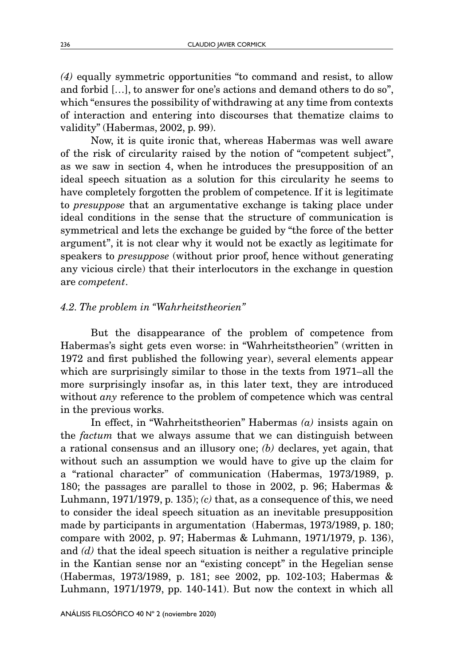*(4)* equally symmetric opportunities "to command and resist, to allow and forbid […], to answer for one's actions and demand others to do so", which "ensures the possibility of withdrawing at any time from contexts of interaction and entering into discourses that thematize claims to validity" (Habermas, 2002, p. 99).

Now, it is quite ironic that, whereas Habermas was well aware of the risk of circularity raised by the notion of "competent subject", as we saw in section 4, when he introduces the presupposition of an ideal speech situation as a solution for this circularity he seems to have completely forgotten the problem of competence. If it is legitimate to *presuppose* that an argumentative exchange is taking place under ideal conditions in the sense that the structure of communication is symmetrical and lets the exchange be guided by "the force of the better argument", it is not clear why it would not be exactly as legitimate for speakers to *presuppose* (without prior proof, hence without generating any vicious circle) that their interlocutors in the exchange in question are *competent*.

### *4.2. The problem in "Wahrheitstheorien"*

But the disappearance of the problem of competence from Habermas's sight gets even worse: in "Wahrheitstheorien" (written in 1972 and first published the following year), several elements appear which are surprisingly similar to those in the texts from 1971–all the more surprisingly insofar as, in this later text, they are introduced without *any* reference to the problem of competence which was central in the previous works.

In effect, in "Wahrheitstheorien" Habermas *(a)* insists again on the *factum* that we always assume that we can distinguish between a rational consensus and an illusory one; *(b)* declares, yet again, that without such an assumption we would have to give up the claim for a "rational character" of communication (Habermas, 1973/1989, p. 180; the passages are parallel to those in 2002, p. 96; Habermas & Luhmann, 1971/1979, p. 135); *(c)* that, as a consequence of this, we need to consider the ideal speech situation as an inevitable presupposition made by participants in argumentation (Habermas, 1973/1989, p. 180; compare with 2002, p. 97; Habermas & Luhmann, 1971/1979, p. 136), and *(d)* that the ideal speech situation is neither a regulative principle in the Kantian sense nor an "existing concept" in the Hegelian sense (Habermas, 1973/1989, p. 181; see 2002, pp. 102-103; Habermas & Luhmann, 1971/1979, pp. 140-141). But now the context in which all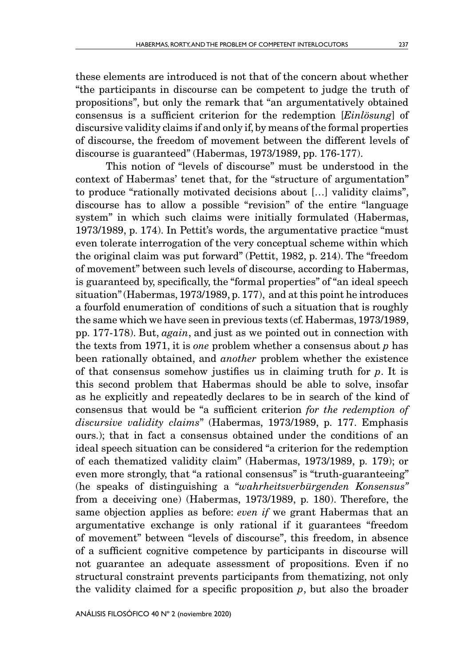these elements are introduced is not that of the concern about whether "the participants in discourse can be competent to judge the truth of propositions", but only the remark that "an argumentatively obtained consensus is a sufficient criterion for the redemption [*Einlösung*] of discursive validity claims if and only if, by means of the formal properties of discourse, the freedom of movement between the different levels of discourse is guaranteed" (Habermas, 1973/1989, pp. 176-177).

This notion of "levels of discourse" must be understood in the context of Habermas' tenet that, for the "structure of argumentation" to produce "rationally motivated decisions about […] validity claims", discourse has to allow a possible "revision" of the entire "language system" in which such claims were initially formulated (Habermas, 1973/1989, p. 174). In Pettit's words, the argumentative practice "must even tolerate interrogation of the very conceptual scheme within which the original claim was put forward" (Pettit, 1982, p. 214). The "freedom of movement" between such levels of discourse, according to Habermas, is guaranteed by, specifically, the "formal properties" of "an ideal speech situation" (Habermas, 1973/1989, p. 177), and at this point he introduces a fourfold enumeration of conditions of such a situation that is roughly the same which we have seen in previous texts (cf. Habermas, 1973/1989, pp. 177-178). But, *again*, and just as we pointed out in connection with the texts from 1971, it is *one* problem whether a consensus about *p* has been rationally obtained, and *another* problem whether the existence of that consensus somehow justifies us in claiming truth for *p*. It is this second problem that Habermas should be able to solve, insofar as he explicitly and repeatedly declares to be in search of the kind of consensus that would be "a sufficient criterion *for the redemption of discursive validity claims*" (Habermas, 1973/1989, p. 177. Emphasis ours.); that in fact a consensus obtained under the conditions of an ideal speech situation can be considered "a criterion for the redemption of each thematized validity claim" (Habermas, 1973/1989, p. 179); or even more strongly, that "a rational consensus" is "truth-guaranteeing" (he speaks of distinguishing a "*wahrheitsverbürgenden Konsensus"*  from a deceiving one) (Habermas, 1973/1989, p. 180). Therefore, the same objection applies as before: *even if* we grant Habermas that an argumentative exchange is only rational if it guarantees "freedom of movement" between "levels of discourse", this freedom, in absence of a sufficient cognitive competence by participants in discourse will not guarantee an adequate assessment of propositions. Even if no structural constraint prevents participants from thematizing, not only the validity claimed for a specific proposition *p*, but also the broader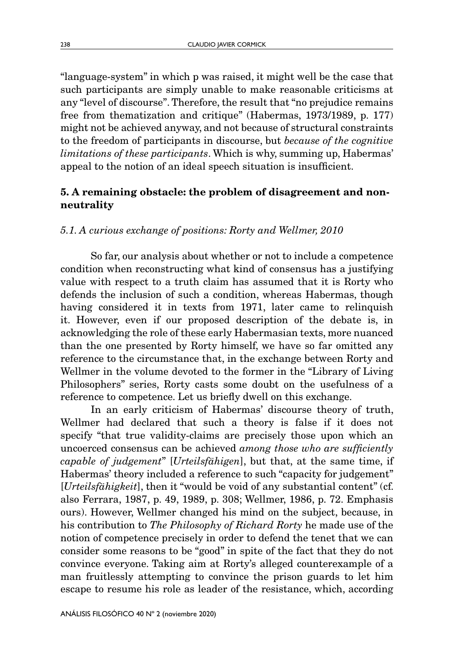"language-system" in which p was raised, it might well be the case that such participants are simply unable to make reasonable criticisms at any "level of discourse". Therefore, the result that "no prejudice remains free from thematization and critique" (Habermas, 1973/1989, p. 177) might not be achieved anyway, and not because of structural constraints to the freedom of participants in discourse, but *because of the cognitive limitations of these participants*. Which is why, summing up, Habermas' appeal to the notion of an ideal speech situation is insufficient.

## 5. A remaining obstacle: the problem of disagreement and nonneutrality

## *5.1. A curious exchange of positions: Rorty and Wellmer, 2010*

So far, our analysis about whether or not to include a competence condition when reconstructing what kind of consensus has a justifying value with respect to a truth claim has assumed that it is Rorty who defends the inclusion of such a condition, whereas Habermas, though having considered it in texts from 1971, later came to relinquish it. However, even if our proposed description of the debate is, in acknowledging the role of these early Habermasian texts, more nuanced than the one presented by Rorty himself, we have so far omitted any reference to the circumstance that, in the exchange between Rorty and Wellmer in the volume devoted to the former in the "Library of Living Philosophers" series, Rorty casts some doubt on the usefulness of a reference to competence. Let us briefly dwell on this exchange.

In an early criticism of Habermas' discourse theory of truth, Wellmer had declared that such a theory is false if it does not specify "that true validity-claims are precisely those upon which an uncoerced consensus can be achieved *among those who are sufficiently capable of judgement*" [*Urteilsfähigen*], but that, at the same time, if Habermas' theory included a reference to such "capacity for judgement" [*Urteilsfähigkeit*], then it "would be void of any substantial content" (cf. also Ferrara, 1987, p. 49, 1989, p. 308; Wellmer, 1986, p. 72. Emphasis ours). However, Wellmer changed his mind on the subject, because, in his contribution to *The Philosophy of Richard Rorty* he made use of the notion of competence precisely in order to defend the tenet that we can consider some reasons to be "good" in spite of the fact that they do not convince everyone. Taking aim at Rorty's alleged counterexample of a man fruitlessly attempting to convince the prison guards to let him escape to resume his role as leader of the resistance, which, according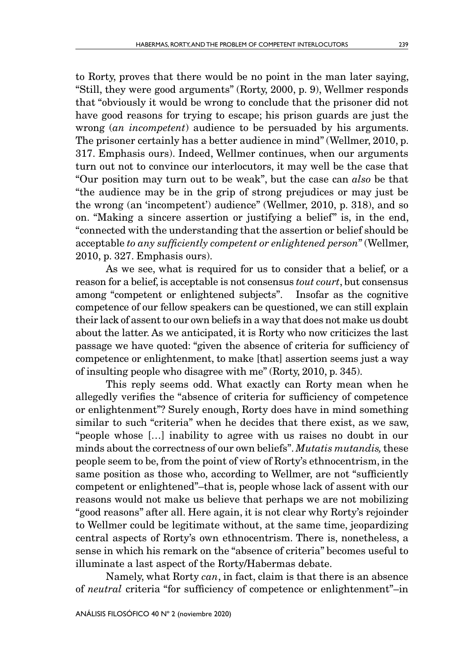to Rorty, proves that there would be no point in the man later saying, "Still, they were good arguments" (Rorty, 2000, p. 9), Wellmer responds that "obviously it would be wrong to conclude that the prisoner did not have good reasons for trying to escape; his prison guards are just the wrong (*an incompetent*) audience to be persuaded by his arguments. The prisoner certainly has a better audience in mind" (Wellmer, 2010, p. 317. Emphasis ours). Indeed, Wellmer continues, when our arguments turn out not to convince our interlocutors, it may well be the case that "Our position may turn out to be weak", but the case can *also* be that "the audience may be in the grip of strong prejudices or may just be the wrong (an 'incompetent') audience" (Wellmer, 2010, p. 318), and so on. "Making a sincere assertion or justifying a belief" is, in the end, "connected with the understanding that the assertion or belief should be acceptable *to any sufficiently competent or enlightened person*" (Wellmer, 2010, p. 327. Emphasis ours).

As we see, what is required for us to consider that a belief, or a reason for a belief, is acceptable is not consensus *tout court*, but consensus among "competent or enlightened subjects". Insofar as the cognitive competence of our fellow speakers can be questioned, we can still explain their lack of assent to our own beliefs in a way that does not make us doubt about the latter. As we anticipated, it is Rorty who now criticizes the last passage we have quoted: "given the absence of criteria for sufficiency of competence or enlightenment, to make [that] assertion seems just a way of insulting people who disagree with me" (Rorty, 2010, p. 345).

This reply seems odd. What exactly can Rorty mean when he allegedly verifies the "absence of criteria for sufficiency of competence or enlightenment"? Surely enough, Rorty does have in mind something similar to such "criteria" when he decides that there exist, as we saw, "people whose […] inability to agree with us raises no doubt in our minds about the correctness of our own beliefs". *Mutatis mutandis,* these people seem to be, from the point of view of Rorty's ethnocentrism, in the same position as those who, according to Wellmer, are not "sufficiently competent or enlightened"–that is, people whose lack of assent with our reasons would not make us believe that perhaps we are not mobilizing "good reasons" after all. Here again, it is not clear why Rorty's rejoinder to Wellmer could be legitimate without, at the same time, jeopardizing central aspects of Rorty's own ethnocentrism. There is, nonetheless, a sense in which his remark on the "absence of criteria" becomes useful to illuminate a last aspect of the Rorty/Habermas debate.

Namely, what Rorty *can*, in fact, claim is that there is an absence of *neutral* criteria "for sufficiency of competence or enlightenment"–in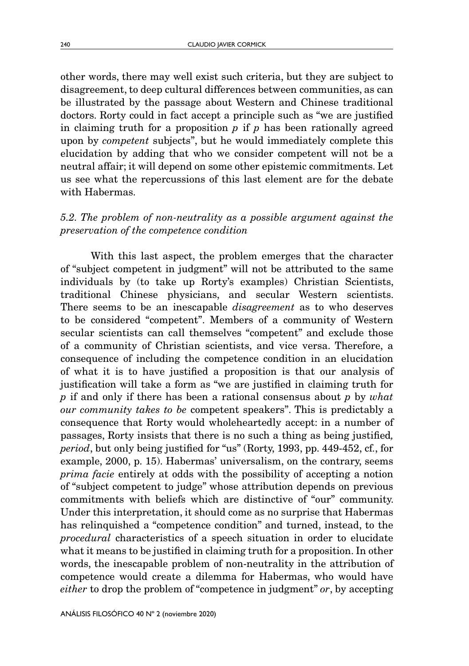other words, there may well exist such criteria, but they are subject to disagreement, to deep cultural differences between communities, as can be illustrated by the passage about Western and Chinese traditional doctors. Rorty could in fact accept a principle such as "we are justified in claiming truth for a proposition *p* if *p* has been rationally agreed upon by *competent* subjects", but he would immediately complete this elucidation by adding that who we consider competent will not be a neutral affair; it will depend on some other epistemic commitments. Let us see what the repercussions of this last element are for the debate with Habermas.

## *5.2. The problem of non-neutrality as a possible argument against the preservation of the competence condition*

With this last aspect, the problem emerges that the character of "subject competent in judgment" will not be attributed to the same individuals by (to take up Rorty's examples) Christian Scientists, traditional Chinese physicians, and secular Western scientists. There seems to be an inescapable *disagreement* as to who deserves to be considered "competent". Members of a community of Western secular scientists can call themselves "competent" and exclude those of a community of Christian scientists, and vice versa. Therefore, a consequence of including the competence condition in an elucidation of what it is to have justified a proposition is that our analysis of justification will take a form as "we are justified in claiming truth for *p* if and only if there has been a rational consensus about *p* by *what our community takes to be* competent speakers". This is predictably a consequence that Rorty would wholeheartedly accept: in a number of passages, Rorty insists that there is no such a thing as being justified*, period*, but only being justified for "us" (Rorty, 1993, pp. 449-452, cf., for example, 2000, p. 15). Habermas' universalism, on the contrary, seems *prima facie* entirely at odds with the possibility of accepting a notion of "subject competent to judge" whose attribution depends on previous commitments with beliefs which are distinctive of "our" community. Under this interpretation, it should come as no surprise that Habermas has relinquished a "competence condition" and turned, instead, to the *procedural* characteristics of a speech situation in order to elucidate what it means to be justified in claiming truth for a proposition. In other words, the inescapable problem of non-neutrality in the attribution of competence would create a dilemma for Habermas, who would have *either* to drop the problem of "competence in judgment" *or*, by accepting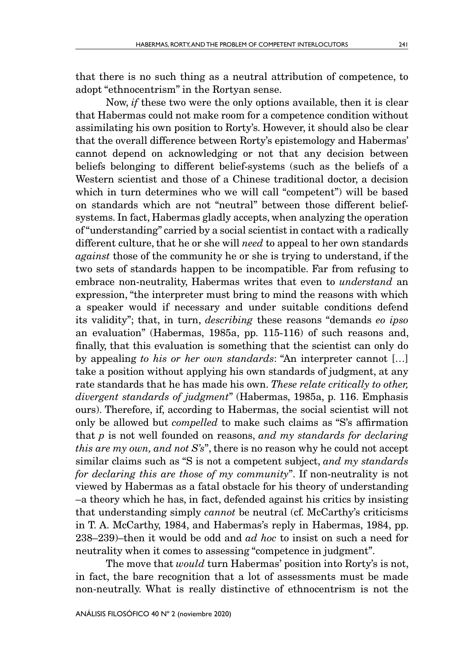that there is no such thing as a neutral attribution of competence, to adopt "ethnocentrism" in the Rortyan sense.

Now, *if* these two were the only options available, then it is clear that Habermas could not make room for a competence condition without assimilating his own position to Rorty's. However, it should also be clear that the overall difference between Rorty's epistemology and Habermas' cannot depend on acknowledging or not that any decision between beliefs belonging to different belief-systems (such as the beliefs of a Western scientist and those of a Chinese traditional doctor, a decision which in turn determines who we will call "competent") will be based on standards which are not "neutral" between those different beliefsystems. In fact, Habermas gladly accepts, when analyzing the operation of "understanding" carried by a social scientist in contact with a radically different culture, that he or she will *need* to appeal to her own standards *against* those of the community he or she is trying to understand, if the two sets of standards happen to be incompatible. Far from refusing to embrace non-neutrality, Habermas writes that even to *understand* an expression, "the interpreter must bring to mind the reasons with which a speaker would if necessary and under suitable conditions defend its validity"; that, in turn, *describing* these reasons "demands *eo ipso* an evaluation" (Habermas, 1985a, pp. 115-116) of such reasons and, finally, that this evaluation is something that the scientist can only do by appealing *to his or her own standards*: "An interpreter cannot […] take a position without applying his own standards of judgment, at any rate standards that he has made his own. *These relate critically to other, divergent standards of judgment*" (Habermas, 1985a, p. 116. Emphasis ours). Therefore, if, according to Habermas, the social scientist will not only be allowed but *compelled* to make such claims as "S's affirmation that *p* is not well founded on reasons, *and my standards for declaring this are my own, and not S's*", there is no reason why he could not accept similar claims such as "S is not a competent subject, *and my standards for declaring this are those of my community*". If non-neutrality is not viewed by Habermas as a fatal obstacle for his theory of understanding –a theory which he has, in fact, defended against his critics by insisting that understanding simply *cannot* be neutral (cf. McCarthy's criticisms in T. A. McCarthy, 1984, and Habermas's reply in Habermas, 1984, pp. 238–239)–then it would be odd and *ad hoc* to insist on such a need for neutrality when it comes to assessing "competence in judgment".

The move that *would* turn Habermas' position into Rorty's is not, in fact, the bare recognition that a lot of assessments must be made non-neutrally. What is really distinctive of ethnocentrism is not the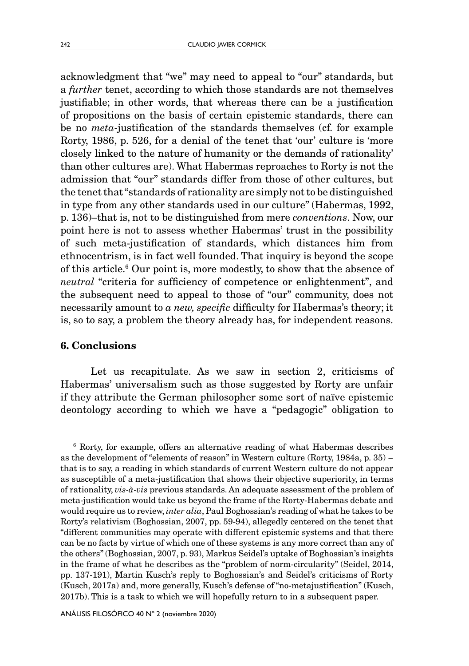acknowledgment that "we" may need to appeal to "our" standards, but a *further* tenet, according to which those standards are not themselves justifiable; in other words, that whereas there can be a justification of propositions on the basis of certain epistemic standards, there can be no *meta-*justification of the standards themselves (cf. for example Rorty, 1986, p. 526, for a denial of the tenet that 'our' culture is 'more closely linked to the nature of humanity or the demands of rationality' than other cultures are). What Habermas reproaches to Rorty is not the admission that "our" standards differ from those of other cultures, but the tenet that "standards of rationality are simply not to be distinguished in type from any other standards used in our culture" (Habermas, 1992, p. 136)–that is, not to be distinguished from mere *conventions*. Now, our point here is not to assess whether Habermas' trust in the possibility of such meta-justification of standards, which distances him from ethnocentrism, is in fact well founded. That inquiry is beyond the scope of this article.6 Our point is, more modestly, to show that the absence of *neutral* "criteria for sufficiency of competence or enlightenment", and the subsequent need to appeal to those of "our" community, does not necessarily amount to *a new, specific* difficulty for Habermas's theory; it is, so to say, a problem the theory already has, for independent reasons.

### 6. Conclusions

Let us recapitulate. As we saw in section 2, criticisms of Habermas' universalism such as those suggested by Rorty are unfair if they attribute the German philosopher some sort of naïve epistemic deontology according to which we have a "pedagogic" obligation to

6 Rorty, for example, offers an alternative reading of what Habermas describes as the development of "elements of reason" in Western culture (Rorty, 1984a, p. 35) − that is to say, a reading in which standards of current Western culture do not appear as susceptible of a meta-justification that shows their objective superiority, in terms of rationality, *vis-à-vis* previous standards. An adequate assessment of the problem of meta-justification would take us beyond the frame of the Rorty-Habermas debate and would require us to review, *inter alia*, Paul Boghossian's reading of what he takes to be Rorty's relativism (Boghossian, 2007, pp. 59-94), allegedly centered on the tenet that "different communities may operate with different epistemic systems and that there can be no facts by virtue of which one of these systems is any more correct than any of the others" (Boghossian, 2007, p. 93), Markus Seidel's uptake of Boghossian's insights in the frame of what he describes as the "problem of norm-circularity" (Seidel, 2014, pp. 137-191), Martin Kusch's reply to Boghossian's and Seidel's criticisms of Rorty (Kusch, 2017a) and, more generally, Kusch's defense of "no-metajustification" (Kusch, 2017b). This is a task to which we will hopefully return to in a subsequent paper.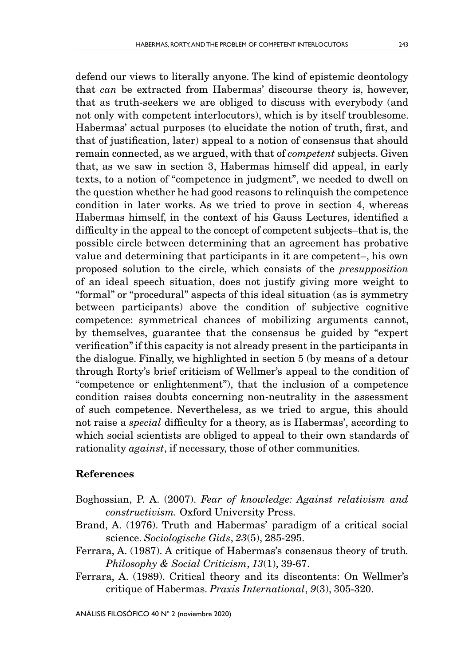243

defend our views to literally anyone. The kind of epistemic deontology that *can* be extracted from Habermas' discourse theory is, however, that as truth-seekers we are obliged to discuss with everybody (and not only with competent interlocutors), which is by itself troublesome. Habermas' actual purposes (to elucidate the notion of truth, first, and that of justification, later) appeal to a notion of consensus that should remain connected, as we argued, with that of *competent* subjects. Given that, as we saw in section 3, Habermas himself did appeal, in early texts, to a notion of "competence in judgment", we needed to dwell on the question whether he had good reasons to relinquish the competence condition in later works. As we tried to prove in section 4, whereas Habermas himself, in the context of his Gauss Lectures, identified a difficulty in the appeal to the concept of competent subjects–that is, the possible circle between determining that an agreement has probative value and determining that participants in it are competent–, his own proposed solution to the circle, which consists of the *presupposition* of an ideal speech situation, does not justify giving more weight to "formal" or "procedural" aspects of this ideal situation (as is symmetry between participants) above the condition of subjective cognitive competence: symmetrical chances of mobilizing arguments cannot, by themselves, guarantee that the consensus be guided by "expert verification" if this capacity is not already present in the participants in the dialogue. Finally, we highlighted in section 5 (by means of a detour through Rorty's brief criticism of Wellmer's appeal to the condition of "competence or enlightenment"), that the inclusion of a competence condition raises doubts concerning non-neutrality in the assessment of such competence. Nevertheless, as we tried to argue, this should not raise a *special* difficulty for a theory, as is Habermas', according to which social scientists are obliged to appeal to their own standards of rationality *against*, if necessary, those of other communities.

## References

- Boghossian, P. A. (2007). *Fear of knowledge: Against relativism and constructivism.* Oxford University Press.
- Brand, A. (1976). Truth and Habermas' paradigm of a critical social science. *Sociologische Gids*, *23*(5), 285-295.
- Ferrara, A. (1987). A critique of Habermas's consensus theory of truth*. Philosophy & Social Criticism*, *13*(1), 39-67.
- Ferrara, A. (1989). Critical theory and its discontents: On Wellmer's critique of Habermas. *Praxis International*, *9*(3), 305-320.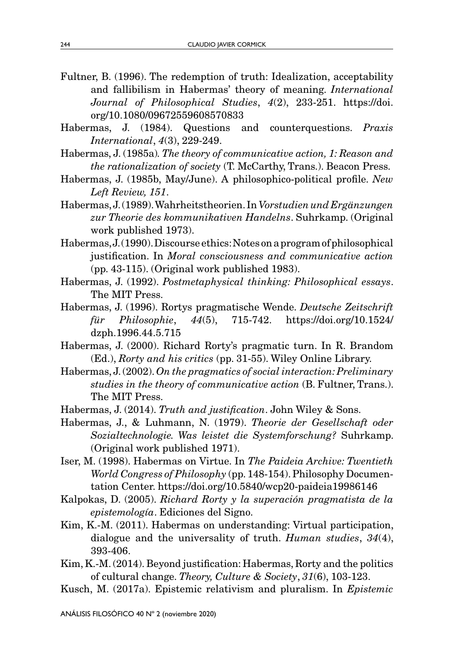- Fultner, B. (1996). The redemption of truth: Idealization, acceptability and fallibilism in Habermas' theory of meaning. *International Journal of Philosophical Studies*, *4*(2), 233-251. [https://doi.](https://doi.org/10.1080/09672559608570833) [org/10.1080/09672559608570833](https://doi.org/10.1080/09672559608570833)
- Habermas, J. (1984). Questions and counterquestions. *Praxis International*, *4*(3), 229-249.
- Habermas, J. (1985a)*. The theory of communicative action, 1: Reason and the rationalization of society* (T. McCarthy, Trans.). Beacon Press.
- Habermas, J. (1985b, May/June). A philosophico-political profile. *New Left Review, 151*.
- Habermas, J. (1989). Wahrheitstheorien. In *Vorstudien und Ergänzungen zur Theorie des kommunikativen Handelns*. Suhrkamp. (Original work published 1973).
- Habermas, J. (1990). Discourse ethics: Notes on a program of philosophical justification. In *Moral consciousness and communicative action* (pp. 43-115). (Original work published 1983).
- Habermas, J. (1992). *Postmetaphysical thinking: Philosophical essays*. The MIT Press.
- Habermas, J. (1996). Rortys pragmatische Wende. *Deutsche Zeitschrift für Philosophie*, *44*(5), 715-742. https://doi.org/10.1524/ dzph.1996.44.5.715
- Habermas, J. (2000). Richard Rorty's pragmatic turn. In R. Brandom (Ed.), *Rorty and his critics* (pp. 31-55). Wiley Online Library.
- Habermas, J. (2002). *On the pragmatics of social interaction: Preliminary studies in the theory of communicative action* (B. Fultner, Trans.). The MIT Press.
- Habermas, J. (2014). *Truth and justification*. John Wiley & Sons.
- Habermas, J., & Luhmann, N. (1979). *Theorie der Gesellschaft oder Sozialtechnologie. Was leistet die Systemforschung?* Suhrkamp. (Original work published 1971).
- Iser, M. (1998). Habermas on Virtue. In *The Paideia Archive: Twentieth World Congress of Philosophy* (pp. 148-154). Philosophy Documentation Center. https://doi.org/10.5840/wcp20-paideia19986146
- Kalpokas, D. (2005). *Richard Rorty y la superación pragmatista de la epistemología*. Ediciones del Signo.
- Kim, K.-M. (2011). Habermas on understanding: Virtual participation, dialogue and the universality of truth. *Human studies*, *34*(4), 393-406.
- Kim, K.-M. (2014). Beyond justification: Habermas, Rorty and the politics of cultural change. *Theory, Culture & Society*, *31*(6), 103-123.
- Kusch, M. (2017a). Epistemic relativism and pluralism. In *Epistemic*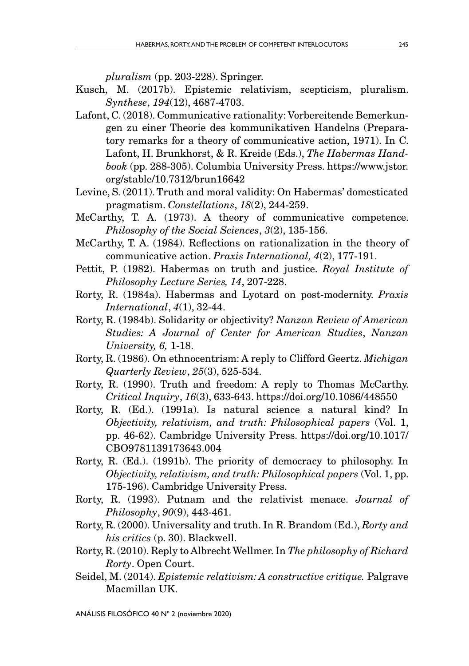*pluralism* (pp. 203-228). Springer.

- Kusch, M. (2017b). Epistemic relativism, scepticism, pluralism. *Synthese*, *194*(12), 4687-4703.
- Lafont, C. (2018). Communicative rationality: Vorbereitende Bemerkungen zu einer Theorie des kommunikativen Handelns (Preparatory remarks for a theory of communicative action, 1971). In C. Lafont, H. Brunkhorst, & R. Kreide (Eds.), *The Habermas Handbook* (pp. 288-305). Columbia University Press. https://www.jstor. org/stable/10.7312/brun16642
- Levine, S. (2011). Truth and moral validity: On Habermas' domesticated pragmatism. *Constellations*, *18*(2), 244-259.
- McCarthy, T. A. (1973). A theory of communicative competence. *Philosophy of the Social Sciences*, *3*(2), 135-156.
- McCarthy, T. A. (1984). Reflections on rationalization in the theory of communicative action. *Praxis International, 4*(2), 177-191.
- Pettit, P. (1982). Habermas on truth and justice. *Royal Institute of Philosophy Lecture Series, 14*, 207-228.
- Rorty, R. (1984a). Habermas and Lyotard on post-modernity. *Praxis International*, *4*(1), 32-44.
- Rorty, R. (1984b). Solidarity or objectivity? *Nanzan Review of American Studies: A Journal of Center for American Studies*, *Nanzan University, 6,* 1-18.
- Rorty, R. (1986). On ethnocentrism: A reply to Clifford Geertz. *Michigan Quarterly Review*, *25*(3), 525-534.
- Rorty, R. (1990). Truth and freedom: A reply to Thomas McCarthy. *Critical Inquiry*, *16*(3), 633-643. https://doi.org/10.1086/448550
- Rorty, R. (Ed.). (1991a). Is natural science a natural kind? In *Objectivity, relativism, and truth: Philosophical papers* (Vol. 1, pp. 46-62). Cambridge University Press. [https://doi.org/10.1017/](https://doi.org/10.1017/CBO9781139173643.004) [CBO9781139173643.004](https://doi.org/10.1017/CBO9781139173643.004)
- Rorty, R. (Ed.). (1991b). The priority of democracy to philosophy. In *Objectivity, relativism, and truth: Philosophical papers* (Vol. 1, pp. 175-196). Cambridge University Press.
- Rorty, R. (1993). Putnam and the relativist menace. *Journal of Philosophy*, *90*(9), 443-461.
- Rorty, R. (2000). Universality and truth. In R. Brandom (Ed.), *Rorty and his critics* (p. 30). Blackwell.
- Rorty, R. (2010). Reply to Albrecht Wellmer. In *The philosophy of Richard Rorty*. Open Court.
- Seidel, M. (2014). *Epistemic relativism: A constructive critique.* Palgrave Macmillan UK.